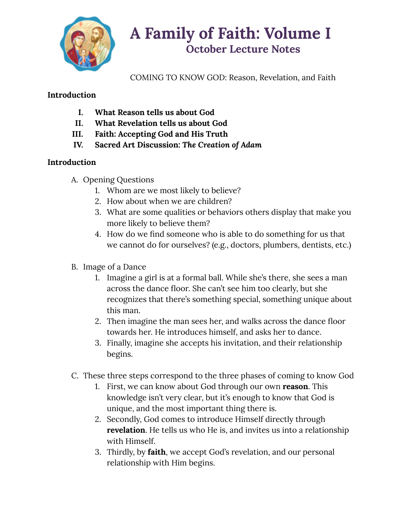

# **A Family of Faith: Volume I October Lecture Notes**

COMING TO KNOW GOD: Reason, Revelation, and Faith

## **Introduction**

- **I. What Reason tells us about God**
- **II. What Revelation tells us about God**
- **III. Faith: Accepting God and His Truth**
- **IV. Sacred Art Discussion:** *The Creation of Adam*

# **Introduction**

- A. Opening Questions
	- 1. Whom are we most likely to believe?
	- 2. How about when we are children?
	- 3. What are some qualities or behaviors others display that make you more likely to believe them?
	- 4. How do we find someone who is able to do something for us that we cannot do for ourselves? (e.g., doctors, plumbers, dentists, etc.)
- B. Image of a Dance
	- 1. Imagine a girl is at a formal ball. While she's there, she sees a man across the dance floor. She can't see him too clearly, but she recognizes that there's something special, something unique about this man.
	- 2. Then imagine the man sees her, and walks across the dance floor towards her. He introduces himself, and asks her to dance.
	- 3. Finally, imagine she accepts his invitation, and their relationship begins.
- C. These three steps correspond to the three phases of coming to know God
	- 1. First, we can know about God through our own **reason**. This knowledge isn't very clear, but it's enough to know that God is unique, and the most important thing there is.
	- 2. Secondly, God comes to introduce Himself directly through **revelation**. He tells us who He is, and invites us into a relationship with Himself.
	- 3. Thirdly, by **faith**, we accept God's revelation, and our personal relationship with Him begins.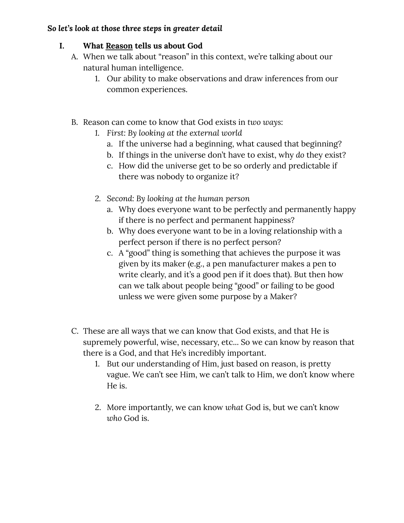## *So let's look at those three steps in greater detail*

## **I. What Reason tells us about God**

- A. When we talk about "reason" in this context, we're talking about our natural human intelligence.
	- 1. Our ability to make observations and draw inferences from our common experiences.
- B. Reason can come to know that God exists in *two ways*:
	- *1. First: By looking at the external world*
		- a. If the universe had a beginning, what caused that beginning?
		- b. If things in the universe don't have to exist, why *do* they exist?
		- c. How did the universe get to be so orderly and predictable if there was nobody to organize it?
	- *2. Second: By looking at the human person*
		- a. Why does everyone want to be perfectly and permanently happy if there is no perfect and permanent happiness?
		- b. Why does everyone want to be in a loving relationship with a perfect person if there is no perfect person?
		- c. A "good" thing is something that achieves the purpose it was given by its maker (e.g., a pen manufacturer makes a pen to write clearly, and it's a good pen if it does that). But then how can we talk about people being "good" or failing to be good unless we were given some purpose by a Maker?
- C. These are all ways that we can know that God exists, and that He is supremely powerful, wise, necessary, etc... So we can know by reason that there is a God, and that He's incredibly important.
	- 1. But our understanding of Him, just based on reason, is pretty vague. We can't see Him, we can't talk to Him, we don't know where He is.
	- 2. More importantly, we can know *what* God is, but we can't know *who* God is.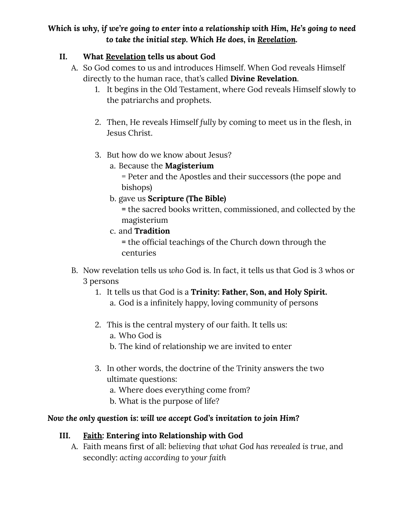## *Which is why, if we're going to enter into a relationship with Him, He's going to need to take the initial step. Which He does, in Revelation.*

## **II. What Revelation tells us about God**

- A. So God comes to us and introduces Himself. When God reveals Himself directly to the human race, that's called **Divine Revelation**.
	- 1. It begins in the Old Testament, where God reveals Himself slowly to the patriarchs and prophets.
	- 2. Then, He reveals Himself *fully* by coming to meet us in the flesh, in Jesus Christ.
	- 3. But how do we know about Jesus?
		- a. Because the **Magisterium**

= Peter and the Apostles and their successors (the pope and bishops)

b. gave us **Scripture (The Bible)**

**=** the sacred books written, commissioned, and collected by the magisterium

c. and **Tradition**

**=** the official teachings of the Church down through the centuries

- B. Now revelation tells us *who* God is. In fact, it tells us that God is 3 whos or 3 persons
	- 1. It tells us that God is a **Trinity: Father, Son, and Holy Spirit.**
		- a. God is a infinitely happy, loving community of persons
	- 2. This is the central mystery of our faith. It tells us:
		- a. Who God is
		- b. The kind of relationship we are invited to enter
	- 3. In other words, the doctrine of the Trinity answers the two ultimate questions:
		- a. Where does everything come from?
		- b. What is the purpose of life?

## *Now the only question is: will we accept God's invitation to join Him?*

# **III. Faith: Entering into Relationship with God**

A. Faith means first of all: *believing that what God has revealed is true*, and secondly: *acting according to your faith*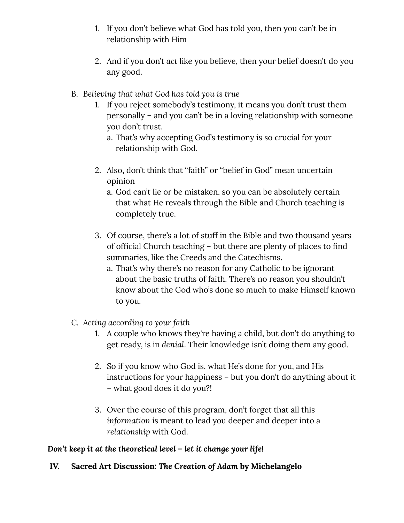- 1. If you don't believe what God has told you, then you can't be in relationship with Him
- 2. And if you don't *act* like you believe, then your belief doesn't do you any good.
- B. *Believing that what God has told you is true*
	- 1. If you reject somebody's testimony, it means you don't trust them personally – and you can't be in a loving relationship with someone you don't trust.
		- a. That's why accepting God's testimony is so crucial for your relationship with God.
	- 2. Also, don't think that "faith" or "belief in God" mean uncertain opinion
		- a. God can't lie or be mistaken, so you can be absolutely certain that what He reveals through the Bible and Church teaching is completely true.
	- 3. Of course, there's a lot of stuff in the Bible and two thousand years of official Church teaching – but there are plenty of places to find summaries, like the Creeds and the Catechisms.
		- a. That's why there's no reason for any Catholic to be ignorant about the basic truths of faith. There's no reason you shouldn't know about the God who's done so much to make Himself known to you.
- C. *Acting according to your faith*
	- 1. A couple who knows they're having a child, but don't do anything to get ready, is in *denial*. Their knowledge isn't doing them any good.
	- 2. So if you know who God is, what He's done for you, and His instructions for your happiness – but you don't do anything about it – what good does it do you?!
	- 3. Over the course of this program, don't forget that all this *information* is meant to lead you deeper and deeper into a *relationship* with God.

#### *Don't keep it at the theoretical level – let it change your life!*

**IV. Sacred Art Discussion:** *The Creation of Adam* **by Michelangelo**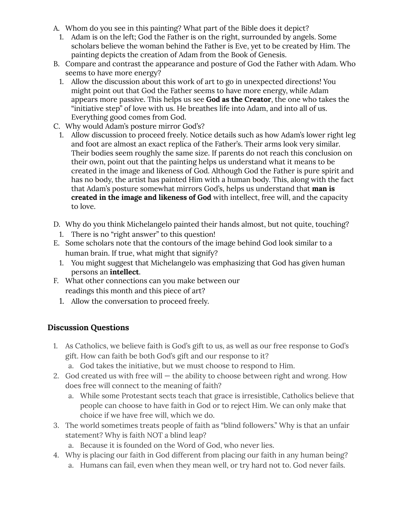- A. Whom do you see in this painting? What part of the Bible does it depict?
	- 1. Adam is on the left; God the Father is on the right, surrounded by angels. Some scholars believe the woman behind the Father is Eve, yet to be created by Him. The painting depicts the creation of Adam from the Book of Genesis.
- B. Compare and contrast the appearance and posture of God the Father with Adam. Who seems to have more energy?
	- 1. Allow the discussion about this work of art to go in unexpected directions! You might point out that God the Father seems to have more energy, while Adam appears more passive. This helps us see **God as the Creator**, the one who takes the "initiative step" of love with us. He breathes life into Adam, and into all of us. Everything good comes from God.
- C. Why would Adam's posture mirror God's?
	- 1. Allow discussion to proceed freely. Notice details such as how Adam's lower right leg and foot are almost an exact replica of the Father's. Their arms look very similar. Their bodies seem roughly the same size. If parents do not reach this conclusion on their own, point out that the painting helps us understand what it means to be created in the image and likeness of God. Although God the Father is pure spirit and has no body, the artist has painted Him with a human body. This, along with the fact that Adam's posture somewhat mirrors God's, helps us understand that **man is created in the image and likeness of God** with intellect, free will, and the capacity to love.
- D. Why do you think Michelangelo painted their hands almost, but not quite, touching?
	- 1. There is no "right answer" to this question!
- E. Some scholars note that the contours of the image behind God look similar to a human brain. If true, what might that signify?
	- 1. You might suggest that Michelangelo was emphasizing that God has given human persons an **intellect**.
- F. What other connections can you make between our readings this month and this piece of art?
	- 1. Allow the conversation to proceed freely.

#### **Discussion Questions**

- 1. As Catholics, we believe faith is God's gift to us, as well as our free response to God's gift. How can faith be both God's gift and our response to it?
	- a. God takes the initiative, but we must choose to respond to Him.
- 2. God created us with free will  $-$  the ability to choose between right and wrong. How does free will connect to the meaning of faith?
	- a. While some Protestant sects teach that grace is irresistible, Catholics believe that people can choose to have faith in God or to reject Him. We can only make that choice if we have free will, which we do.
- 3. The world sometimes treats people of faith as "blind followers." Why is that an unfair statement? Why is faith NOT a blind leap?
	- a. Because it is founded on the Word of God, who never lies.
- 4. Why is placing our faith in God different from placing our faith in any human being?
	- a. Humans can fail, even when they mean well, or try hard not to. God never fails.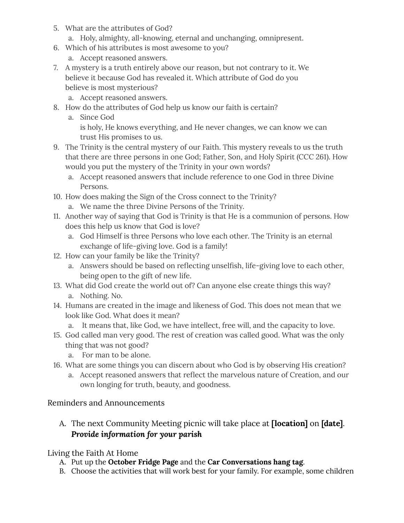- 5. What are the attributes of God?
	- a. Holy, almighty, all-knowing, eternal and unchanging, omnipresent.
- 6. Which of his attributes is most awesome to you?
	- a. Accept reasoned answers.
- 7. A mystery is a truth entirely above our reason, but not contrary to it. We believe it because God has revealed it. Which attribute of God do you believe is most mysterious?
	- a. Accept reasoned answers.
- 8. How do the attributes of God help us know our faith is certain?
	- a. Since God is holy, He knows everything, and He never changes, we can know we can trust His promises to us.
- 9. The Trinity is the central mystery of our Faith. This mystery reveals to us the truth that there are three persons in one God; Father, Son, and Holy Spirit (CCC 261). How would you put the mystery of the Trinity in your own words?
	- a. Accept reasoned answers that include reference to one God in three Divine Persons.
- 10. How does making the Sign of the Cross connect to the Trinity?
	- a. We name the three Divine Persons of the Trinity.
- 11. Another way of saying that God is Trinity is that He is a communion of persons. How does this help us know that God is love?
	- a. God Himself is three Persons who love each other. The Trinity is an eternal exchange of life-giving love. God is a family!
- 12. How can your family be like the Trinity?
	- a. Answers should be based on reflecting unselfish, life-giving love to each other, being open to the gift of new life.
- 13. What did God create the world out of? Can anyone else create things this way? a. Nothing. No.
- 14. Humans are created in the image and likeness of God. This does not mean that we look like God. What does it mean?
	- a. It means that, like God, we have intellect, free will, and the capacity to love.
- 15. God called man very good. The rest of creation was called good. What was the only thing that was not good?
	- a. For man to be alone.
- 16. What are some things you can discern about who God is by observing His creation?
	- a. Accept reasoned answers that reflect the marvelous nature of Creation, and our own longing for truth, beauty, and goodness.

## Reminders and Announcements

A. The next Community Meeting picnic will take place at **[location]** on **[date]**. *Provide information for your parish*

#### Living the Faith At Home

- A. Put up the **October Fridge Page** and the **Car Conversations hang tag**.
- B. Choose the activities that will work best for your family. For example, some children